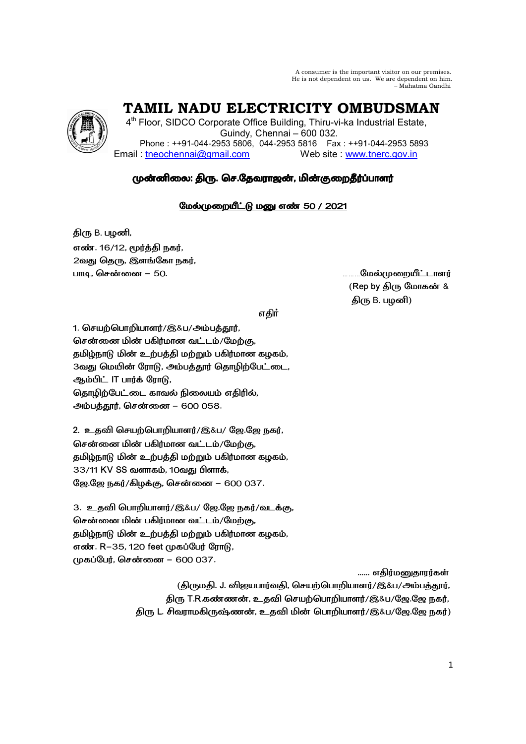A consumer is the important visitor on our premises. He is not dependent on us. We are dependent on him. - Mahatma Gandhi



TAMIL NADU ELECTRICITY OMBUDSMAN

4<sup>th</sup> Floor, SIDCO Corporate Office Building, Thiru-vi-ka Industrial Estate, Guindy, Chennai - 600 032. Phone: ++91-044-2953 5806, 044-2953 5816 Fax: ++91-044-2953 5893 Email: tneochennai@gmail.com Web site www.tnerc.gov.in

# முன்னிலை: திரு. செ.தேவராஜன், மின்குறைதீர்ப்பாளர்

## <u>மேல்முறையீட்டு மனு எண் 50 / 2021</u>

திரு B. பழனி, எண். 16/12. மூர்க்கி நகர். 2வது தெரு, இளங்கோ நகர், பாடி, சென்னை – 50.

**.........மேல்முறையீட்டாளர்** (Rep by திரு மோகன் & திரு B. பழனி)

எதிர்

1. செயற்பொறியாளர்/இ&ப/அம்பக்கார். சென்னை மின் பகிர்மான வட்டம்/மேற்கு, தமிழ்நாடு மின் உற்பத்தி மற்றும் பகிர்மான கழகம், 3வது மெயின் ரோடு, அம்பத்தூர் தொழிற்பேட்டை, ஆம்பிட் IT பார்க் ரோடு, தொழிற்பேட்டை காவல் நிலையம் எதிரில், அம்பத்தூர், சென்னை – 600 058.

2. உதவி செயற்பொறியாளர்/இ&ப/ ஜே.ஜே நகர், சென்னை மின் பகிர்மான வட்டம்/மேற்கு, தமிழ்நாடு மின் உற்பத்தி மற்றும் பகிர்மான கழகம், 33/11 KV SS வளாகம், 10வது பிளாக், ஜே.ஜே நகர்/கிழக்கு, சென்னை – 600 037.

3. உதவி பொறியாளர்/இ&ப/ ஜே.ஜே நகர்/வடக்கு, சென்னை மின் பகிர்மான வட்டம்/மேற்கு. தமிழ்நாடு மின் உற்பத்தி மற்றும் பகிர்மான கழகம், எண். R-35, 120 feet முகப்பேர் ரோடு, முகப்பேர், சென்னை – 600 037.

...... எகிர்மனுகாரர்கள்

(கிருமகி, J. விஜயபார்வகி, செயற்பொறியாளர்/இ&ப/அம்பக்கார், திரு T.R.கண்ணன், உதவி செயற்பொறியாளர்/இ&ப/ஜே.ஜே நகர், திரு L. சிவராமகிருஷ்ணன், உதவி மின் பொறியாளர்/இ&ப/ஜே.ஜே நகர்)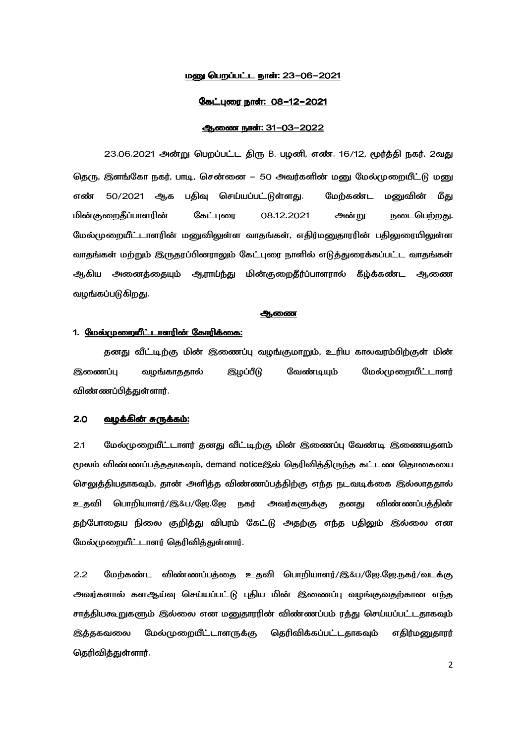### <u>மனு பெறப்பட்ட நாள்: 23-06-2021</u>

### <u>கேட்புரை நாள்: 08-12-2021</u>

### ஆணை நாள்: 31-03-2022

23.06.2021 அன்று பெறப்பட்ட திரு B. பழனி, எண். 16/12, மூர்த்தி நகர், 2வது தெரு, இளங்கோ நகர், பாடி, சென்னை – 50 அவர்களின் மனு மேல்முறையீட்டு மனு பதிவு செய்யப்பட்டுள்ளது. மேற்கண்ட எண் 50/2021 ஆக மனுவின் மீது மின்குறைதீப்பாளரின் கேட்புரை 08.12.2021 அன்று நடைபெற்றது. மேல்முறையீட்டாளரின் மனுவிலுள்ள வாதங்கள், எதிர்மனுதாரரின் பதிலுரையிலுள்ள வாதங்கள் மற்றும் இருதரப்பினராலும் கேட்புரை நாளில் எடுத்துரைக்கப்பட்ட வாதங்கள் ஆகிய அனைத்தையும் ஆராய்ந்து மின்குறைதீர்ப்பாளரால் கீழ்க்கண்ட ஆணை வழங்கப்படுகிறது.

### <u> ஆணை</u>

## 1. மேல்முறையீட்டாளரின் கோரிக்கை:

தனது வீட்டிற்கு மின் இணைப்பு வழங்குமாறும், உரிய காலவரம்பிற்குள் மின் இணைப்பு வழங்காததால் வேண்டியும் மேல்முறையீட்டாளர் இழப்பீடு விண்ணப்பித்துள்ளார்.

#### $2.0$ வழக்கின் சுருக்கம்:

 $2.1$ மேல்முறையீட்டாளர் தனது வீட்டிற்கு மின் இணைப்பு வேண்டி இணையதளம் மூலம் விண்ணப்பத்ததாகவும், demand noticeஇல் தெரிவித்திருந்த கட்டண தொகையை செலுத்தியதாகவும், தான் அளித்த விண்ணப்பத்திற்கு எந்த நடவடிக்கை இல்லாததால் உதவி பொறியாளர்/இ&ப/ஜே.ஜே நகர் அவர்களுக்கு தனது விண்ணப்பக்கின் தற்போதைய நிலை குறித்து விபரம் கேட்டு அதற்கு எந்த பதிலும் இல்லை என மேல்முறையீட்டாளர் தெரிவித்துள்ளார்.

 $2.2$ மேற்கண்ட விண்ணப்பத்தை உதவி பொறியாளர்/இ&ப/ஜே.ஜே.நகர்/வடக்கு அவர்களால் களஆய்வு செய்யப்பட்டு புதிய மின் இணைப்பு வழங்குவதற்கான எந்த சாத்தியகூறுகளும் இல்லை என மனுதாரரின் விண்ணப்பம் ரத்து செய்யப்பட்டதாகவும் இத்தகவலை மேல்முறையீட்டாளருக்கு தெரிவிக்கப்பட்டதாகவும் எதிர்மனுதாரர் கெரிவிக்குள்ளார்.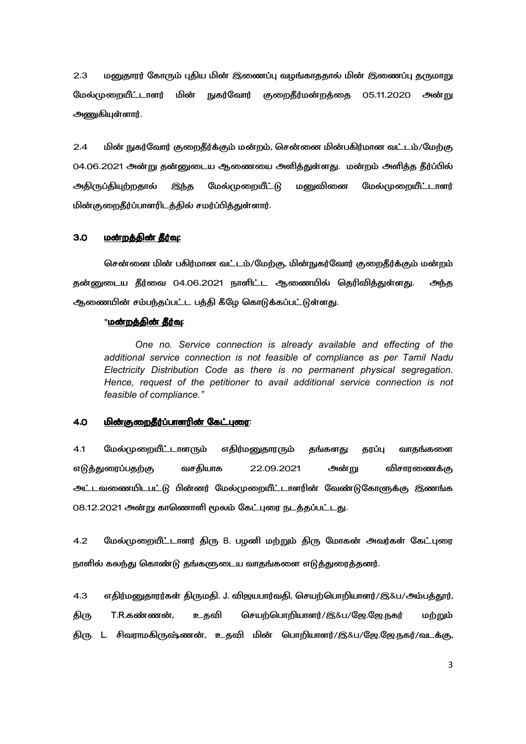$2.3$ மனுதாரர் கோரும் புதிய மின் இணைப்பு வழங்காததால் மின் இணைப்பு தருமாறு மேல்முறையீட்டாளர் மின் நுகர்வோர் குறைதீர்மன்றத்தை 05.11.2020 அன்று அணுகியுள்ளார்.

 $2.4$ மின் நுகர்வோர் குறைதீர்க்கும் மன்றம், சென்னை மின்பகிர்மான வட்டம்/மேற்கு 04.06.2021 அன்று தன்னுடைய ஆணையை அளித்துள்ளது. மன்றம் அளித்த தீர்ப்பில் அதிருப்தியுற்றதால் இந்த மேல்முறையீட்டு மனுவினை மேல்முறையீட்டாளர் மின்குறைதீர்ப்பாளரிடத்தில் சமர்ப்பித்துள்ளார்.

#### $3.0$ மன்றக்கின் கீர்வ:

சென்னை மின் பகிர்மான வட்டம்/மேற்கு, மின்நுகர்வோர் குறைதீர்க்கும் மன்றம் தன்னுடைய தீர்வை 04.06.2021 நாளிட்ட ஆணையில் தெரிவித்துள்ளது. அந்த ஆணையின் சம்பந்தப்பட்ட பத்தி கீழே கொடுக்கப்பட்டுள்ளது.

### "மன்றத்தின் தீர்வு:

One no. Service connection is already available and effecting of the additional service connection is not feasible of compliance as per Tamil Nadu Electricity Distribution Code as there is no permanent physical segregation. Hence, request of the petitioner to avail additional service connection is not feasible of compliance."

#### <u>மின்குறைதீர்ப்பாளரின் கேட்புரை:</u>  $4.0$

 $4.1$ மேல்முறையீட்டாள**ரும்** எதிர்மனுதாரரும் தங்களது தரப்பு வாதங்களை வசதியாக 22.09.2021 அன்று விசாரணைக்கு எடுத்துரைப்பதற்கு அட்டவணையிடபட்டு பின்னர் மேல்முறையீட்டாளரின் வேண்டுகோளுக்கு இணங்க 08.12.2021 அன்று காணொளி மூலம் கேட்புரை நடத்தப்பட்டது.

 $4.2$ மேல்முறையீட்டாளர் திரு B. பழனி மற்றும் திரு மோகன் அவர்கள் கேட்புரை நாளில் கலந்து கொண்டு தங்களுடைய வாதங்களை எடுத்துரைத்தனர்.

எதிர்மனுதாரர்கள் திருமதி. J. விஜயபார்வதி, செயற்பொறியாளர்/இ&ப/அம்பத்தூர்,  $4.3$ T.R.கண்ணன். செயற்பொறியாளர்/இ&ப/ஜே.ஜே.நகர் திரு உ கவி மற்றும் திரு L. சிவராமகிருஷ்ணன், உதவி மின் பொறியாளர்/இ&ப/ஜே.ஜே.நகர்/வடக்கு,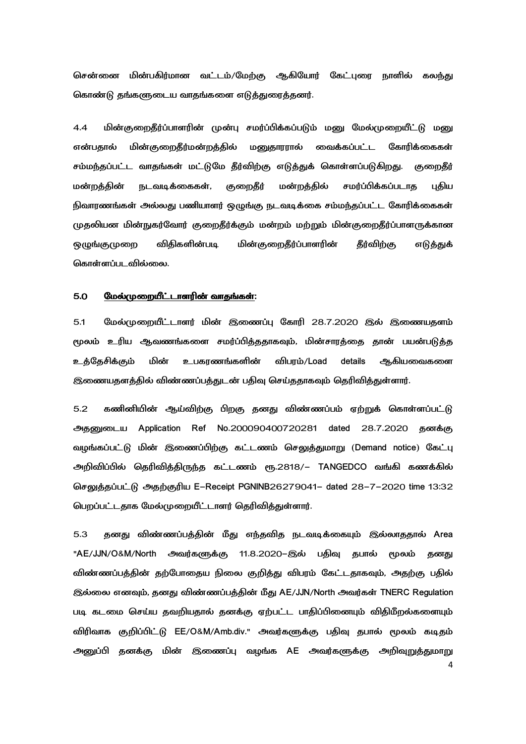சென்னை மின்பகிர்மான வட்டம்/மேற்கு ஆகியோர் கேட்புரை நாளில் கலந்து கொண்டு தங்களுடைய வாதங்களை எடுத்துரைத்தனர்.

4.4 மின்குறைதீர்ப்பாளரின் முன்பு சமர்ப்பிக்கப்படும் மனு மேல்முறையீட்டு மனு மின்குறைதீர்மன்றத்தில் மனுதாரரால் வைக்கப்பட்ட என்பகால் கோரிக்கைகள் சம்மந்தப்பட்ட வாதங்கள் மட்டுமே தீர்விற்கு எடுத்துக் கொள்ளப்படுகிறது. குறைதீர் மன்றத்தின் நடவடிக்கைகள், குறைதீர் மன்றத்தில் சமர்ப்பிக்கப்படாத புதிய நிவாரணங்கள் அல்லது பணியாளர் ஒழுங்கு நடவடிக்கை சம்மந்தப்பட்ட கோரிக்கைகள் முதலியன மின்நுகர்வோர் குறைதீர்க்கும் மன்றம் மற்றும் மின்குறைதீர்ப்பாளருக்கான மின்குறைதீர்ப்பாளரின் **ஒழுங்குமுறை** விதிகளின்படி தீர்விற்கு எடுத்துக் கொள்ளப்படவில்லை.

#### மேல்முறையீட்டாளரின் வாதங்கள்:  $5.0$

மேல்முறையீட்டாளர் மின் இணைப்பு கோரி 28.7.2020 இல் இணையதளம்  $5.1$ மூலம் உரிய ஆவணங்களை சமர்ப்பித்ததாகவும், மின்சாரத்தை தான் பயன்படுத்த உத்தேசிக்கும் மின் உபகரணங்களின் விபரம்/Load details ஆகியவைகளை இணையதளத்தில் விண்ணப்பத்துடன் பதிவு செய்ததாகவும் தெரிவித்துள்ளார்.

 $5.2$ கணினியின் ஆய்விற்கு பிறகு தனது விண்ணப்பம் ஏற்றுக் கொள்ளப்பட்டு அதனுடைய Application Ref No.200090400720281 dated 28.7.2020 தனக்கு வழங்கப்பட்டு மின் இணைப்பிற்கு கட்டணம் செலுத்துமாறு (Demand notice) கேட்பு அறிவிப்பில் தெரிவித்திருந்த கட்டணம் ரூ.2818/– TANGEDCO வங்கி கணக்கில் செலுத்தப்பட்டு அதற்குரிய E-Receipt PGNINB26279041- dated 28-7-2020 time 13:32 பெறப்பட்டதாக மேல்முறையீட்டாளர் தெரிவித்துள்ளார்.

தனது விண்ணப்பத்தின் மீது எந்தவித நடவடிக்கையும் இல்லாததால் Area  $5.3$ "AE/JJN/O&M/North அவர்களுக்கு 11.8.2020–இல் பதிவு தபால் மூலம் தனது விண்ணப்பத்தின் தற்போதைய நிலை குறித்து விபரம் கேட்டதாகவும், அதற்கு பதில் இல்லை எனவும், தனது விண்ணப்பத்தின் மீது AE/JJN/North அவர்கள் TNERC Regulation படி கடமை செய்ய தவறியதால் தனக்கு ஏற்பட்ட பாதிப்பினையும் விதிமீறல்களையும் விரிவாக குறிப்பிட்டு EE/O&M/Amb.div." அவர்களுக்கு பதிவு தபால் மூலம் கடிதம் அனுப்பி தனக்கு மின் இணைப்பு வழங்க AE அவர்களுக்கு அறிவுறுத்துமாறு  $\overline{a}$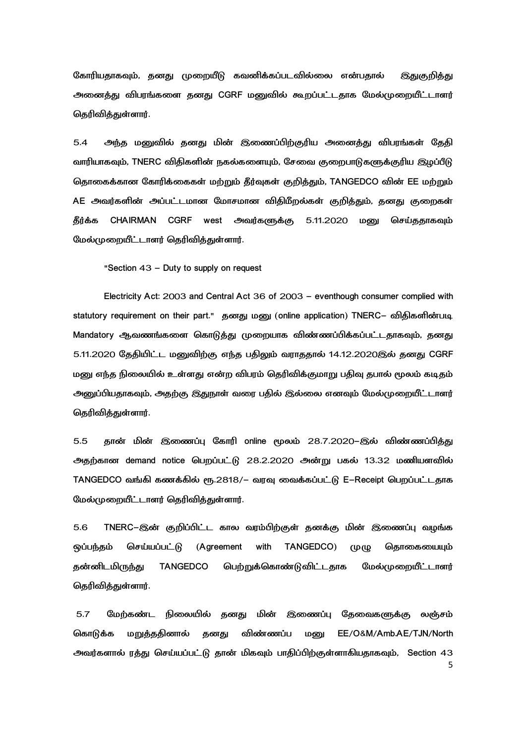கோரியதாகவும், தனது முறையீடு கவனிக்கப்படவில்லை என்பதால் இதுகுறித்து அனைத்து விபரங்களை தனது CGRF மனுவில் கூறப்பட்டதாக மேல்முறையீட்டாளர் கெரிவிக்குள்ளார்.

 $5.4$ அந்த மனுவில் தனது மின் இணைப்பிற்குரிய அனைத்து விபரங்கள் தேதி வாரியாகவும், TNERC விதிகளின் நகல்களையும், சேவை குறைபாடுகளுக்குரிய இழப்பீடு தொகைக்கான கோரிக்கைகள் மற்றும் தீர்வுகள் குறித்தும், TANGEDCO வின் EE மற்றும் AE அவர்களின் அப்பட்டமான மோசமான விதிமீறல்கள் குறித்தும், தனது குறைகள் CHAIRMAN CGRF west அவர்களுக்கு 5.11.2020 மண கீர்க்க செய்ககாகவம் மேல்முறையீட்டாளர் தெரிவிக்குள்ளார்.

"Section 43 - Duty to supply on request

Electricity Act: 2003 and Central Act 36 of 2003 - eventhough consumer complied with statutory requirement on their part." தனது மனு (online application) TNERC- விதிகளின்படி Mandatory ஆவணங்களை கொடுத்து முறையாக விண்ணப்பிக்கப்பட்டதாகவும், தனது 5.11.2020 தேதியிட்ட மனுவிற்கு எந்த பதிலும் வராததால் 14.12.2020இல் தனது CGRF மனு எந்த நிலையில் உள்ளது என்ற விபரம் தெரிவிக்குமாறு பதிவு தபால் மூலம் கடிதம் அனுப்பியதாகவும், அதற்கு இதுநாள் வரை பதில் இல்லை எனவும் மேல்முறையீட்டாளர் தெரிவித்துள்ளார்.

 $5.5$ கான் மின் இணைப்ப கோரி online மூலம் 28.7.2020–இல் விண்ணப்பிக்கு அதற்கான demand notice பெறப்பட்டு 28.2.2020 அன்று பகல் 13.32 மணியளவில் TANGEDCO வங்கி கணக்கில் ரூ.2818/– வரவு வைக்கப்பட்டு E-Receipt பெறப்பட்டதாக மேல்முறையீட்டாளர் தெரிவித்துள்ளார்.

5.6 TNERC–இன் குறிப்பிட்ட கால வரம்பிற்குள் தனக்கு மின் இணைப்பு வழங்க செய்யப்பட்டு (Agreement with TANGEDCO) கொகையையும் **@ப்பந்தம்**  $(\Psi(\Psi))$ கன்னிடமிருந்து **TANGEDCO** பெற்றுக்கொண்டுவிட்டதாக மேல்முறையீட்டாளர் தெரிவித்துள்ளார்.

 $5.7$ மேற்கண்ட நிலையில் தனது மின் இணைப்பு தேவைகளுக்கு லஞ்சம் EE/O&M/Amb.AE/TJN/North மறுக்கதினால் கனகு விண்ணப்ப மனு கொடுக்க அவர்களால் ரத்து செய்யப்பட்டு தான் மிகவும் பாதிப்பிற்குள்ளாகியதாகவும், Section 43 5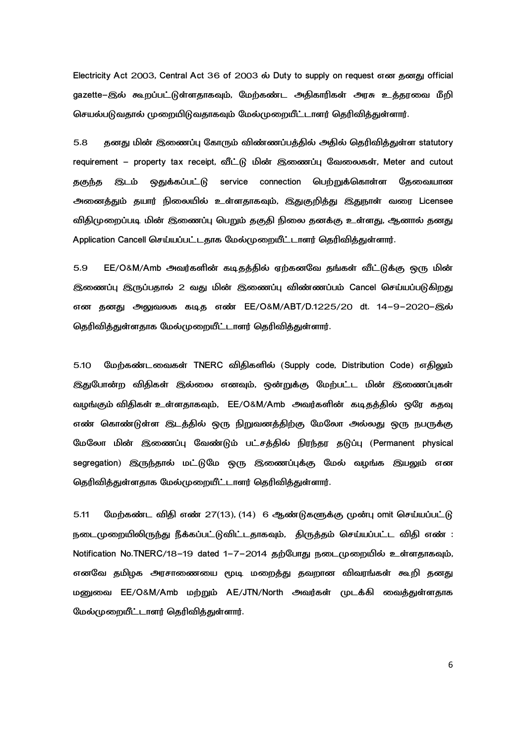Electricity Act 2003, Central Act 36 of 2003 ல் Duty to supply on request என தனது official gazette–இல் கூறப்பட்டுள்ளதாகவும், மேற்கண்ட அதிகாரிகள் அரசு உத்தரவை மீறி செயல்படுவதால் முறையிடுவதாகவும் மேல்முறையீட்டாளர் தெரிவித்துள்ளார்.

5.8 தனது மின் இணைப்பு கோரும் விண்ணப்பத்தில் அதில் தெரிவித்துள்ள statutory requirement - property tax receipt, வீட்டு மின் இணைப்பு வேலைகள், Meter and cutout தகுந்த இடம் <u>ஒதுக்கப்பட் டு</u> service connection பெற்றுக்கொள்ள தேவையான அனைத்தும் தயார் நிலையில் உள்ளதாகவும், இதுகுறித்து இதுநாள் வரை Licensee விதிமுறைப்படி மின் இணைப்பு பெறும் தகுதி நிலை தனக்கு உள்ளது, ஆனால் தனது Application Cancell செய்யப்பட்டதாக மேல்முறையீட்டாளர் தெரிவிக்குள்ளார்.

5.9 EE/O&M/Amb அவர்களின் கடிகக்கில் ஏற்கனவே கங்கள் வீட்டுக்கு ஒரு மின் இணைப்ப இருப்பதால் 2 வது மின் இணைப்ப விண்ணப்பம் Cancel செய்யப்படுகிறது என கனது அலுவலக கடிக எண் EE/O&M/ABT/D.1225/20 dt. 14–9–2020–இல் தெரிவித்துள்ளதாக மேல்முறையீட்டாளர் தெரிவித்துள்ளார்.

மேற்கண்டவைகள் TNERC விதிகளில் (Supply code, Distribution Code) எதிலும்  $5.10$ இதுபோன்ற விதிகள் இல்லை எனவும், ஒன்றுக்கு மேற்பட்ட மின் இணைப்புகள் வழங்கும் விகிகள் உள்ளகாகவும், EE/O&M/Amb அவர்களின் கடிகக்கில் ஒரே ககவு எண் கொண்டுள்ள இடத்தில் ஒரு நிறுவனத்திற்கு மேலோ அல்லது ஒரு நபருக்கு மேலோ மின் இணைப்பு வேண்டும் பட்சத்தில் நிரந்தர தடுப்பு (Permanent physical segregation) இருந்தால் மட்டுமே ஒரு இணைப்புக்கு மேல் வழங்க இயலும் என தெரிவித்துள்ளதாக மேல்முறையீட்டாளர் தெரிவித்துள்ளார்.

மேற்கண்ட விதி எண் 27(13), (14) 6 ஆண்டுகளுக்கு முன்பு omit செய்யப்பட்டு 5.11 நடைமுறையிலிருந்து நீக்கப்பட்டுவிட்டதாகவும், திருத்தம் செய்யப்பட்ட விதி எண் : Notification No.TNERC/18-19 dated 1-7-2014 தற்போது நடைமுறையில் உள்ளதாகவும், எனவே தமிழக அரசாணையை மூடி மறைத்து தவறான விவரங்கள் கூறி தனது மனுவை EE/O&M/Amb மற்றும் AE/JTN/North அவர்கள் முடக்கி வைத்துள்ளதாக மேல்முறையீட்டாளர் தெரிவித்துள்ளார்.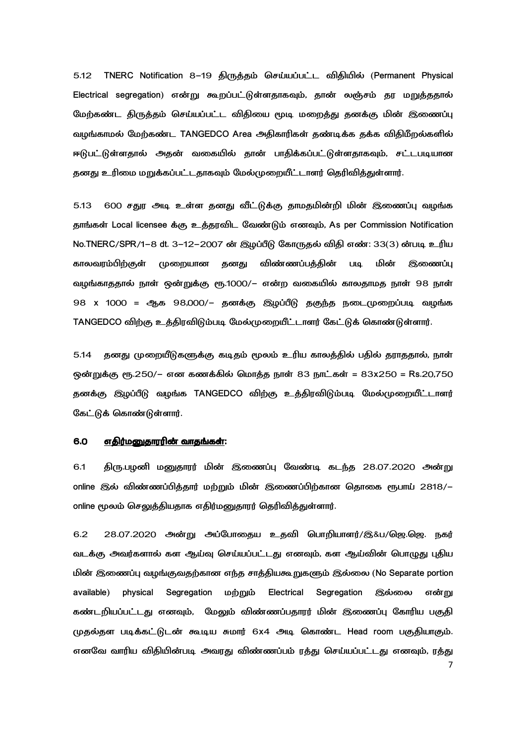TNERC Notification 8-19 திருத்தம் செய்யப்பட்ட விதியில் (Permanent Physical  $5.12$ Electrical segregation) என்று கூறப்பட்டுள்ளதாகவும், தான் லஞ்சம் தர மறுத்ததால் மேற்கண்ட திருத்தம் செய்யப்பட்ட விதியை மூடி மறைத்து தனக்கு மின் இணைப்பு வழங்காமல் மேற்கண்ட TANGEDCO Area அதிகாரிகள் கண்டிக்க கக்க விதிமீறல்களில் ஈடுபட்டுள்ளதால் அதன் வகையில் தான் பாதிக்கப்பட்டுள்ளதாகவும், சட்டபடியான தனது உரிமை மறுக்கப்பட்டதாகவும் மேல்முறையீட்டாளர் தெரிவித்துள்ளார்.

600 சதுர அடி உள்ள தனது வீட்டுக்கு தாமதமின்றி மின் இணைப்பு வழங்க 5.13 தாங்கள் Local licensee க்கு உத்தரவிட வேண்டும் எனவும், As per Commission Notification No.TNERC/SPR/1-8 dt. 3-12-2007 ன் இழப்பீடு கோருதல் விதி எண்: 33(3) ன்படி உரிய காலவரம்பிற்குள் தனது விண்ணப்பத்தின் முறையான **UIQ** மின் இணைப்பு வழங்காததால் நாள் ஒன்றுக்கு ரூ.1000/– என்ற வகையில் காலதாமத நாள் 98 நாள் 98 x 1000 = ஆக 98,000/- தனக்கு இழப்பீடு தகுந்த நடைமுறைப்படி வழங்க TANGEDCO விற்கு உத்திரவிடும்படி மேல்முறையீட்டாளர் கேட்டுக் கொண்டுள்ளார்.

 $5.14$ தனது முறையீடுகளுக்கு கடிகம் மூலம் உரிய காலக்கில் பகில் கராகதால், நாள் ஒன்றுக்கு ரூ.250/– என கணக்கில் மொத்த நாள் 83 நாட்கள் = 83x250 = Rs.20,750 தனக்கு இழப்பீடு வழங்க TANGEDCO விற்கு உத்திரவிடும்படி மேல்முறையீட்டாளர் கேட்டுக் கொண்டுள்ளார்.

#### 6.0 எதிர்மனுதாரரின் வாதங்கள்:

6.1 திரு.பழனி மனுதாரர் மின் இணைப்பு வேண்டி கடந்த 28.07.2020 அன்று online இல் விண்ணப்பித்தார் மற்றும் மின் இணைப்பிற்கான தொகை ரூபாய் 2818/ online மூலம் செலுத்தியதாக எதிர்மனுதாரர் தெரிவித்துள்ளார்.

 $6.2$ 28.07.2020 அன்று அப்போதைய உதவி பொறியாளர்/இ&ப/ஜெ.ஜெ. நகர் வடக்கு அவர்களால் கள ஆய்வு செய்யப்பட்டது எனவும், கள ஆய்வின் பொழுது புதிய மின் இணைப்பு வழங்குவதற்கான எந்த சாத்தியகூறுகளும் இல்லை (No Separate portion available) physical Segregation மற்றும் Electrical Segregation இல்லை என்று கண்டறியப்பட்டது எனவும், மேலும் விண்ணப்பதாரர் மின் இணைப்பு கோரிய பகுதி முதல்தள படிக்கட்டுடன் கூடிய சுமார் 6x4 அடி கொண்ட Head room பகுதியாகும். எனவே வாரிய விதியின்படி அவரது விண்ணப்பம் ரத்து செய்யப்பட்டது எனவும், ரத்து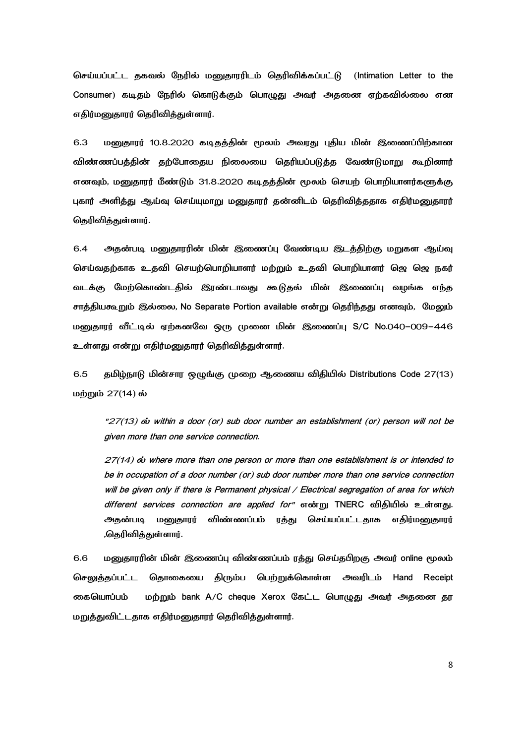செய்யப்பட்ட தகவல் நேரில் மனுதாரரிடம் தெரிவிக்கப்பட்டு (Intimation Letter to the Consumer) கடிதம் நேரில் கொடுக்கும் பொழுது அவர் அதனை ஏற்கவில்லை என எதிர்மனுதாரர் தெரிவித்துள்ளார்.

6.3 மனுதாரர் 10.8.2020 கடிதத்தின் மூலம் அவரது புதிய மின் இணைப்பிற்கான விண்ணப்பத்தின் தற்போதைய நிலையை தெரியப்படுத்த வேண்டுமாறு கூறினார் எனவும், மனுதாரர் மீண்டும் 31.8.2020 கடிதத்தின் மூலம் செயற் பொறியாளர்களுக்கு புகார் அளித்து ஆய்வு செய்யுமாறு மனுதாரர் தன்னிடம் தெரிவித்ததாக எதிர்மனுதாரர் கெரிவிக்குள்ளார்.

 $6.4$ அதன்படி மனுதாரரின் மின் இணைப்பு வேண்டிய இடத்திற்கு மறுகள ஆய்வு செய்வதற்காக உதவி செயற்பொறியாளர் மற்றும் உதவி பொறியாளர் ஜெ ஜெ நகர் வடக்கு மேற்கொண்டதில் இரண்டாவது கூடுதல் மின் இணைப்பு வழங்க எந்த சாக்கியகூறும் இல்லை, No Separate Portion available என்று கெரிந்தது எனவும், மேலும் மனுதாரர் வீட்டில் ஏற்கனவே ஒரு முனை மின் இணைப்பு S/C No.040-009-446 உள்ளது என்று எதிர்மனுதாரர் தெரிவித்துள்ளார்.

தமிழ்நாடு மின்சார ஒழுங்கு முறை ஆணைய விதியில் Distributions Code 27(13) 6.5 மற்றும் 27(14) ல்

"27(13) ou within a door (or) sub door number an establishment (or) person will not be given more than one service connection.

27(14) ov where more than one person or more than one establishment is or intended to be in occupation of a door number (or) sub door number more than one service connection will be given only if there is Permanent physical / Electrical segregation of area for which different services connection are applied for" என்று TNERC விதியில் உள்ளது. அதன்படி மனுதாரர் விண்ணப்பம் ரத்து செய்யப்பட்டதாக எதிர்மனுதாரர் ,தெரிவித்துள்ளார்.

6.6 மனுதாரரின் மின் இணைப்பு விண்ணப்பம் ரத்து செய்தபிறகு அவர் online மூலம் செலுத்தப்பட்ட தொகையை திரும்ப பெற்றுக்கொள்ள அவரிடம் Hand Receipt மற்றும் bank A/C cheque Xerox கேட்ட பொழுது அவர் அதனை தர கையொப்பம் மறுத்துவிட்டதாக எதிர்மனுதாரர் தெரிவித்துள்ளார்.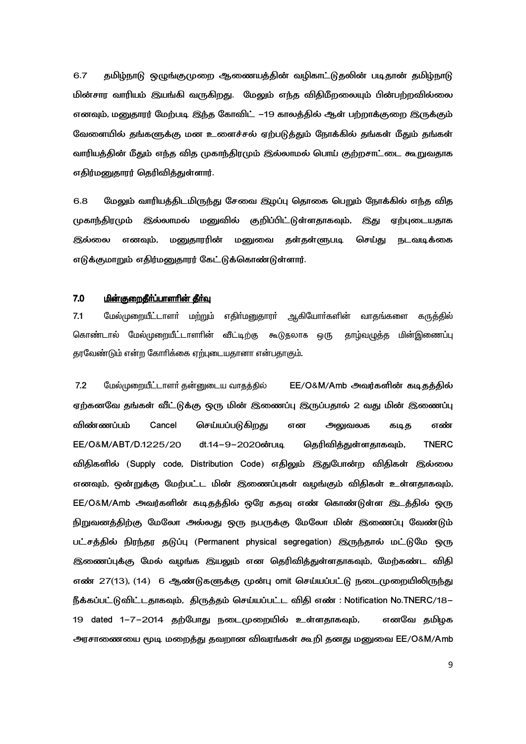தமிழ்நாடு ஒழுங்குமுறை ஆணையத்தின் வழிகாட்டுதலின் படிதான் தமிழ்நாடு 6.7 மின்சார வாரியம் இயங்கி வருகிறது. மேலும் எந்த விதிமீறலையும் பின்பற்றவில்லை எனவும், மனுதாரர் மேற்படி இந்த கோவிட் –19 காலத்தில் ஆள் பற்றாக்குறை இருக்கும் வேளையில் தங்களுக்கு மன உளைச்சல் ஏற்படுத்தும் நோக்கில் தங்கள் மீதும் தங்கள் வாரியத்தின் மீதும் எந்த வித முகாந்திரமும் இல்லாமல் பொய் குற்றசாட்டை கூறுவதாக எதிர்மனுதாரர் தெரிவித்துள்ளார்.

 $6.8$ மேலும் வாரியத்திடமிருந்து சேவை இழப்பு தொகை பெறும் நோக்கில் எந்த வித இல்லாமல் மனுவில் குறிப்பிட்டுள்ளதாகவும், இது முகாந்திரமும் ஏற்புடையதாக மனுதாரரின் மனுவை தள்தள்ளுபடி செய்து நடவடிக்கை இல்லை எனவும், எடுக்குமாறும் எதிர்மனுதாரர் கேட்டுக்கொண்டுள்ளார்.

#### $7.0$ மின்குறைகீர்ப்பாளரின் கீர்வ

 $7.1$ மேல்முறையீட்டாளா் மற்றும் எதிா்மனுதாரா் ஆகியோா்களின் வாதங்களை கருத்தில் கொண்டால் மேல்முறையீட்டாளரின் வீட்டிற்கு கூடுதலாக ஒரு தாழ்வழுத்த மின்இணைப்பு தரவேண்டும் என்ற கோரிக்கை ஏற்புடையதானா என்பதாகும்.

 $7.2$ மேல்முறையீட்டாளர் தன்னுடைய வாதத்தில் EE/O&M/Amb அவர்களின் கடிதத்தில் ஏற்கனவே தங்கள் வீட்டுக்கு ஒரு மின் இணைப்பு இருப்பதால் 2 வது மின் இணைப்பு Cancel விண்ணப்பம் செய்யப்படுகிறது என அலுவலக எண் கடித EE/O&M/ABT/D.1225/20 dt.14-9-2020ன்படி தெரிவித்துள்ளதாகவும், **TNERC** விதிகளில் (Supply code, Distribution Code) எதிலும் இதுபோன்ற விதிகள் இல்லை எனவும், ஒன்றுக்கு மேற்பட்ட மின் இணைப்புகள் வழங்கும் விதிகள் உள்ளதாகவும், EE/O&M/Amb அவர்களின் கடிதத்தில் ஒரே கதவு எண் கொண்டுள்ள இடத்தில் ஒரு நிறுவனத்திற்கு மேலோ அல்லது ஒரு நபருக்கு மேலோ மின் இணைப்பு வேண்டும் பட்சத்தில் நிரந்தர தடுப்பு (Permanent physical segregation) இருந்தால் மட்டுமே ஒரு இணைப்புக்கு மேல் வழங்க இயலும் என தெரிவித்துள்ளதாகவும், மேற்கண்ட விதி எண் 27(13), (14) 6 ஆண்டுகளுக்கு முன்பு omit செய்யப்பட்டு நடைமுறையிலிருந்து நீக்கப்பட்டுவிட்டதாகவும், திருத்தம் செய்யப்பட்ட விதி எண் : Notification No.TNERC/18– 19 dated 1–7–2014 தற்போது நடைமுறையில் உள்ளதாகவும், எனவே கமிமக அரசாணையை மூடி மறைத்து தவறான விவரங்கள் கூறி தனது மனுவை EE/O&M/Amb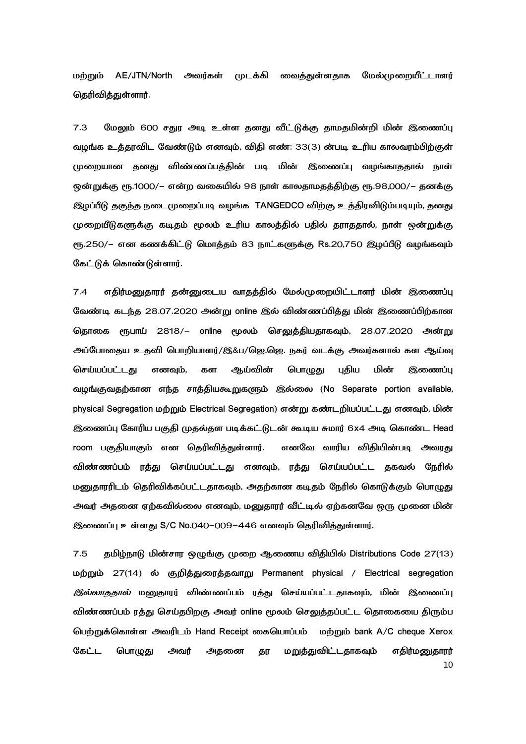AE/JTN/North அவர்கள் முடக்கி வைத்துள்ளதாக மற்றும் மேல்முறையீட்டாளர் தெரிவித்துள்ளார்.

 $7.3$ மேலும் 600 சதுர அடி உள்ள தனது வீட்டுக்கு தாமதமின்றி மின் இணைப்பு வழங்க உத்தரவிட வேண்டும் எனவும், விதி எண்: 33(3) ன்படி உரிய காலவரம்பிற்குள் முறையான தனது விண்ணப்பத்தின் படி மின் இணைப்பு வழங்காததால் நாள் ஒன்றுக்கு ரூ.1000/– என்ற வகையில் 98 நாள் காலதாமதத்திற்கு ரூ.98,000/– தனக்கு இழப்பீடு தகுந்த நடைமுறைப்படி வழங்க TANGEDCO விற்கு உத்திரவிடும்படியும், தனது முறையீடுகளுக்கு கடிதம் மூலம் உரிய காலத்தில் பதில் தராததால், நாள் ஒன்றுக்கு ரூ.250/- என கணக்கிட்டு மொத்தம் 83 நாட்களுக்கு Rs.20,750 இழப்பீடு வழங்கவும் கேட்டுக் கொண்டுள்ளார்.

எதிர்மனுதாரர் தன்னுடைய வாதத்தில் மேல்முறையிட்டாளர் மின் இணைப்பு  $7.4$ வேண்டி கடந்த 28.07.2020 அன்று online இல் விண்ணப்பித்து மின் இணைப்பிற்கான தொகை ரூபாய் 2818/– online மூலம் செலுத்தியதாகவும், 28.07.2020 அன்று அப்போதைய உதவி பொறியாளர்/இ&ப/ஜெ.ஜெ. நகர் வடக்கு அவர்களால் கள ஆய்வு ஆய்வின் செய்யப்பட்டது எனவும், கள பொழுது புதிய மின் இணைப்பு வழங்குவதற்கான எந்த சாத்தியகூறுகளும் இல்லை (No Separate portion available, physical Segregation மற்றும் Electrical Segregation) என்று கண்டறியப்பட்டது எனவும், மின் இணைப்பு கோரிய பகுதி முதல்தள படிக்கட்டுடன் கூடிய சுமார் 6x4 அடி கொண்ட Head room பகுதியாகும் என தெரிவித்துள்ளார். எனவே வாரிய விதியின்படி அவரது விண்ணப்பம் ரத்து செய்யப்பட்டது எனவும், ரத்து செய்யப்பட்ட தகவல் நேரில் மனுதாரரிடம் தெரிவிக்கப்பட்டதாகவும், அதற்கான கடிதம் நேரில் கொடுக்கும் பொழுது அவர் அதனை ஏற்கவில்லை எனவும், மனுகாரர் வீட்டில் ஏற்கனவே ஒரு முனை மின் இணைப்பு உள்ளது S/C No.040-009-446 எனவும் தெரிவித்துள்ளார்.

தமிழ்நாடு மின்சார ஒழுங்கு முறை ஆணைய விதியில் Distributions Code 27(13)  $7.5$ மற்றும் 27(14) ல் குறித்துரைத்தவாறு Permanent physical / Electrical segregation *இல்லாததால்* மனுதாரர் விண்ணப்பம் ரத்து செய்யப்பட்டதாகவும், மின் இணைப்பு விண்ணப்பம் ரத்து செய்தபிறகு அவர் online மூலம் செலுத்தப்பட்ட தொகையை திரும்ப பெற்றுக்கொள்ள அவரிடம் Hand Receipt கையொப்பம் மற்றும் bank A/C cheque Xerox கேட்ட மறுத்துவிட்டதாகவும் பொழுது அவர் அதனை தர எதிர்மனுதாரர் 10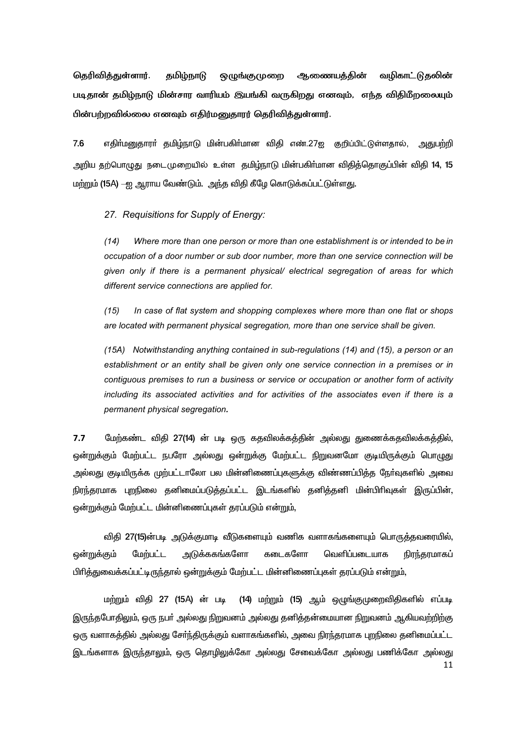தெரிவித்துள்ளார். தமிழ்நாடு ஒழுங்குமுறை ஆணையத்தின் வழிகாட்டுதலின் படிதான் தமிழ்நாடு மின்சார வாரியம் இயங்கி வருகிறது எனவும், எந்த விதிமீறலையும் பின்பற்றவில்லை எனவும் எதிர்மனுதாரர் தெரிவித்துள்ளார்.

 $7.6$ எதிா்மனுதாரா் தமிழ்நாடு மின்பகிா்மான விதி எண்.27ஜ குறிப்பிட்டுள்ளதால், அதுபற்றி அறிய தற்பொழுது நடைமுறையில் உள்ள தமிழ்நாடு மின்பகிா்மான விதித்தொகுப்பின் விதி 14, 15 மற்றும் (15A) –ஐ ஆராய வேண்டும். அந்த விதி கீழே கொடுக்கப்பட்டுள்ளது.

27. Requisitions for Supply of Energy:

 $(14)$ Where more than one person or more than one establishment is or intended to be in occupation of a door number or sub door number, more than one service connection will be given only if there is a permanent physical/ electrical segregation of areas for which different service connections are applied for.

 $(15)$ In case of flat system and shopping complexes where more than one flat or shops are located with permanent physical segregation, more than one service shall be given.

(15A) Notwithstanding anything contained in sub-regulations (14) and (15), a person or an establishment or an entity shall be given only one service connection in a premises or in contiguous premises to run a business or service or occupation or another form of activity including its associated activities and for activities of the associates even if there is a permanent physical segregation.

 $7.7$ மேற்கண்ட விதி 27(14) ன் படி ஒரு கதவிலக்கத்தின் அல்லது துணைக்கதவிலக்கத்தில், ஒன்றுக்கும் மேற்பட்ட நபரோ அல்லது ஒன்றுக்கு மேற்பட்ட நிறுவனமோ குடியிருக்கும் பொழுது அல்லது குடியிருக்க முற்பட்டாலோ பல மின்னிணைப்புகளுக்கு விண்ணப்பித்த நேர்வுகளில் அவை நிரந்தரமாக புறநிலை தனிமைப்படுக்கப்பட்ட இடங்களில் கனிக்கனி மின்பிரிவுகள் இருப்பின். ஒன்றுக்கும் மேற்பட்ட மின்னிணைப்புகள் தரப்படும் என்றும்,

விகி 27(15)ன்படி அடுக்குமாடி வீடுகளையும் வணிக வளாகங்களையும் பொருக்கவரையில். அடுக்ககங்களோ கடைகளோ ஒன்றுக்கும் மேற்பட்ட வெளிப்படையாக நிரந்தரமாகப் பிரித்துவைக்கப்பட்டிருந்தால் ஒன்றுக்கும் மேற்பட்ட மின்னிணைப்புகள் தரப்படும் என்றும்,

மற்றும் விதி 27 (15A) ன் படி (14) மற்றும் (15) ஆம் ஒழுங்குமுறைவிதிகளில் எப்படி இருந்தபோதிலும், ஒரு நபர் அல்லது நிறுவனம் அல்லது தனித்தன்மையான நிறுவனம் ஆகியவற்றிற்கு ஒரு வளாகத்தில் அல்லது சேர்ந்திருக்கும் வளாகங்களில், அவை நிரந்தரமாக புறநிலை தனிமைப்பட்ட இடங்களாக இருந்தாலும், ஒரு தொழிலுக்கோ அல்லது சேவைக்கோ அல்லது பணிக்கோ அல்லது 11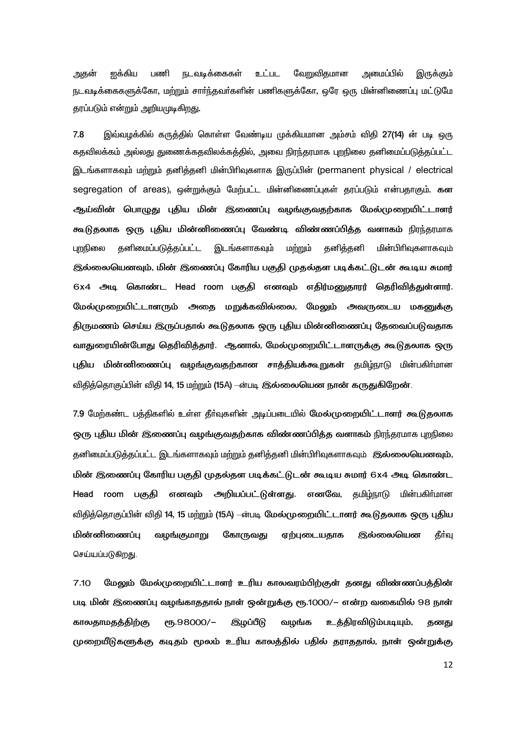ஐக்கிய பணி நடவடிக்கைகள் உட்பட வேறுவிதமான அமைப்பில் அதன் இருக்கும் நடவடிக்கைகளுக்கோ, மற்றும் சார்ந்தவர்களின் பணிகளுக்கோ, ஒரே ஒரு மின்னிணைப்பு மட்டுமே தரப்படும் என்றும் அறியமுடிகிறது.

இவ்வழக்கில் கருத்தில் கொள்ள வேண்டிய முக்கியமான அம்சம் விதி 27(14) ன் படி ஒரு 7.8 கதவிலக்கம் அல்லது துணைக்கதவிலக்கத்தில், அவை நிரந்தரமாக புறநிலை தனிமைப்படுத்தப்பட்ட இடங்களாகவும் மற்றும் தனித்தனி மின்பிரிவுகளாக இருப்பின் (permanent physical / electrical segregation of areas), ஒன்றுக்கும் மேற்பட்ட மின்னிணைப்புகள் தரப்படும் என்பதாகும். கள ஆய்வின் பொழுது புதிய மின் இணைப்பு வழங்குவதற்காக மேல்முறையிட்டாளர் கூடுதலாக ஒரு புதிய மின்னிணைப்பு வேண்டி விண்ணப்பித்த வளாகம் நிரந்தரமாக புறநிலை கனிமைப்படுக்கப்பட்ட இடங்களாகவும் மற்றும் கனிக்கனி மின்பிரிவகளாகவம் இல்லையெனவும், மின் இணைப்பு கோரிய பகுதி முதல்தள படிக்கட்டுடன் கூடிய சுமார் 6x4 அடி கொண்ட Head room பகுகி எனவும் எகிர்மனுகாரர் தெரிவிக்குள்ளார். மேல்முறையிட்டாளரும் அதை மறுக்கவில்லை, மேலும் அவருடைய மகனுக்கு திருமணம் செய்ய இருப்பதால் கூடுதலாக ஒரு புதிய மின்னிணைப்பு தேவைப்படுவதாக வாதுரையின்போது தெரிவித்தார். ஆனால், மேல்முறையிட்டாளருக்கு கூடுதலாக ஒரு புதிய மின்னிணைப்பு வழங்குவதற்கான சாத்தியக்கூறுகள் தமிழ்நாடு மின்பகிர்மான விதித்தொகுப்பின் விதி 14, 15 மற்றும் (15A) –ன்படி இல்லையென நான் கருதுகிறேன்.

7.9 மேற்கண்ட பத்திகளில் உள்ள தீா்வுகளின் அடிப்படையில் மேல்முறையிட்டாளர் கூடுதலாக ஒரு புதிய மின் இணைப்பு வழங்குவதற்காக விண்ணப்பித்த வளாகம் நிரந்தரமாக புறநிலை தனிமைப்படுத்தப்பட்ட இடங்களாகவும் மற்றும் தனித்தனி மின்பிரிவுகளாகவும் இல்லையெனவும், மின் இணைப்பு கோரிய பகுதி முதல்தள படிக்கட்டுடன் கூடிய சுமார் 6x4 அடி கொண்ட Head room பகுதி எனவும் அறியப்பட்டுள்ளது. எனவே, தமிழ்நாடு மின்பகிர்மான விதித்தொகுப்பின் விதி 14, 15 மற்றும் (15A) —ன்படி மேல்முறையிட்டாளர் கூடுதலாக ஒரு புதிய மின்னிணைப்பு வழங்குமாறு கோருவது ஏற்புடையதாக இல்லையென தீர்வு செய்யப்படுகிறது.

 $7.10$ மேலும் மேல்முறையிட்டாளர் உரிய காலவரம்பிற்குள் தனது விண்ணப்பத்தின் படி மின் இணைப்பு வழங்காததால் நாள் ஒன்றுக்கு ரூ.1000/– என்ற வகையில் 98 நாள் காலதாமதத்திற்கு eҧ.98000/-இழப்பீடு வழங்க உத்திரவிடும்படியும், தனது முறையீடுகளுக்கு கடிதம் மூலம் உரிய காலத்தில் பதில் தராததால், நாள் ஒன்றுக்கு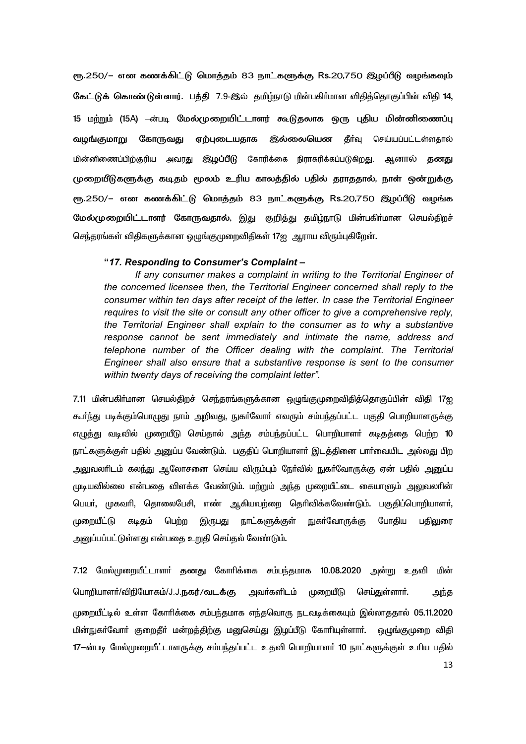ரூ.250/– என கணக்கிட்டு மொத்தம் 83 நாட்களுக்கு Rs.20,750 இழப்பீடு வழங்கவும் கேட்டுக் கொண்டுள்ளார். பத்தி 7.9-இல் தமிழ்நாடு மின்பகிர்மான விதித்தொகுப்பின் விதி 14. 15 மற்றும் (15A) —ன்படி மேல்முறையிட்டாளர் கூடுதலாக ஒரு புதிய மின்னிணைப்பு வழங்குமாறு கோருவது ஏற்புடையதாக இல்லையென தீர்வு செய்யப்பட்டள்ளதால் மின்னிணைப்பிற்குரிய அவரது இழப்பீடு கோரிக்கை நிராகரிக்கப்படுகிறது. ஆனால் தனது முறையீடுகளுக்கு கடிதம் மூலம் உரிய காலத்தில் பதில் தராததால், நாள் ஒன்றுக்கு ரூ.250/– என கணக்கிட்டு மொத்தம் 83 நாட்களுக்கு Rs.20,750 இழப்பீடு வழங்க மேல்முறையிட்டாளர் கோருவதால், இது குறித்து தமிழ்நாடு மின்பகிர்மான செயல்திறச் செந்தரங்கள் விதிகளுக்கான ஒழுங்குமுறைவிதிகள் 17ஐ ஆராய விரும்புகிறேன்.

### "17. Responding to Consumer's Complaint -

If any consumer makes a complaint in writing to the Territorial Engineer of the concerned licensee then, the Territorial Engineer concerned shall reply to the consumer within ten days after receipt of the letter. In case the Territorial Engineer requires to visit the site or consult any other officer to give a comprehensive reply, the Territorial Engineer shall explain to the consumer as to why a substantive response cannot be sent immediately and intimate the name, address and telephone number of the Officer dealing with the complaint. The Territorial Engineer shall also ensure that a substantive response is sent to the consumer within twenty days of receiving the complaint letter".

7.11 மின்பகிா்மான செயல்திறச் செந்தரங்களுக்கான ஒழுங்குமுறைவிதித்தொகுப்பின் விதி 17ஐ கூர்ந்து படிக்கும்பொழுது நாம் அறிவது, நுகர்வோர் எவரும் சம்பந்தப்பட்ட பகுதி பொறியாளருக்கு எழுத்து வடிவில் முறையீடு செய்தால் அந்த சம்பந்தப்பட்ட பொறியாளா் கடிதத்தை பெற்ற 10 நாட்களுக்குள் பதில் அனுப்ப வேண்டும். பகுதிப் பொறியாளர் இடத்தினை பார்வையிட அல்லது பிற அலுவலாிடம் கலந்து ஆலோசனை செய்ய விரும்பும் நோ்வில் நுகா்வோருக்கு ஏன் பதில் அனுப்ப முடியவில்லை என்பதை விளக்க வேண்டும். மற்றும் அந்த முறையீட்டை கையாளும் அலுவலாின் பெயா், முகவாி, தொலைபேசி, எண் ஆகியவற்றை தொிவிக்கவேண்டும். பகுதிப்பொறியாளா், நுகர்வோருக்கு முறையீட்டு கடிதம் பெற்ற நாட்களுக்குள் போகிய பதிலுரை இருபது அனுப்பப்பட்டுள்ளது என்பதை உறுதி செய்தல் வேண்டும்.

7.12 மேல்முறையீட்டாளர் தனது கோரிக்கை சம்பந்தமாக 10.08.2020 அன்று உதவி மின் பொறியாளா்/விநியோகம்/J.J.நகர்/வடக்கு அவா்களிடம் முறையீடு செய்துள்ளாா். அந்த முறையீட்டில் உள்ள கோரிக்கை சம்பந்தமாக எந்தவொரு நடவடிக்கையும் இல்லாததால் 05.11.2020 மின்நுகா்வோா் குறைதீா் மன்றத்திற்கு மனுசெய்து இழப்பீடு கோாியுள்ளாா். ஒழுங்குமுறை விதி 17-ன்படி மேல்முறையீட்டாளருக்கு சம்பந்தப்பட்ட உதவி பொறியாளர் 10 நாட்களுக்குள் உரிய பதில் 13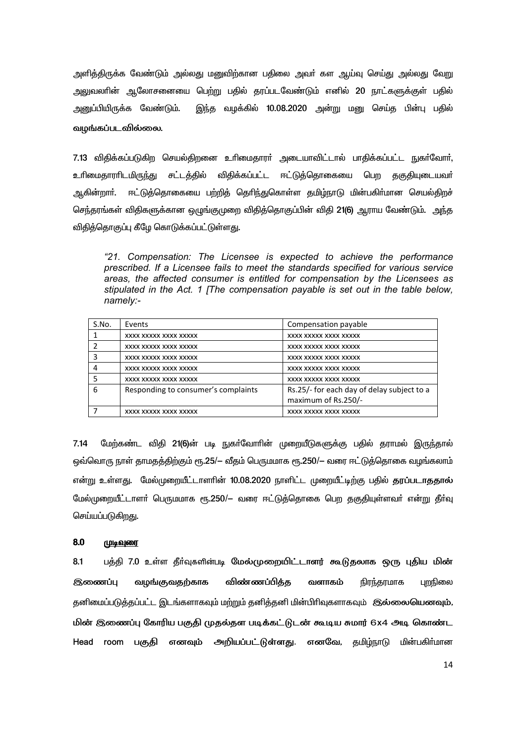அளித்திருக்க வேண்டும் அல்லது மனுவிற்கான பதிலை அவர் கள ஆய்வு செய்து அல்லது வேறு அலுவலாின் ஆலோசனையை பெற்று பதில் தரப்படவேண்டும் எனில் 20 நாட்களுக்குள் பதில் இந்த வழக்கில் 10.08.2020 அன்று மனு செய்த பின்பு பதில் அனுப்பியிருக்க வேண்டும். வழங்கப்படவில்லை.

7.13 விதிக்கப்படுகிற செயல்திறனை உரிமைதாரா் அடையாவிட்டால் பாதிக்கப்பட்ட நுகா்வோா், விதிக்கப்பட்ட ஈட்டுத்தொகையை பெற தகுதியுடையவர் உரிமைதாராிடமிரு<u>ந்து</u> சட்டத்தில் ஆகின்றாா். ஈட்டுத்தொகையை பற்றித் தெரிந்துகொள்ள தமிழ்நாடு மின்பகிர்மான செயல்திறச் செந்தரங்கள் விதிகளுக்கான ஒழுங்குமுறை விதித்தொகுப்பின் விதி 21(6) ஆராய வேண்டும். அந்த விதித்தொகுப்பு கீழே கொடுக்கப்பட்டுள்ளது.

"21. Compensation: The Licensee is expected to achieve the performance prescribed. If a Licensee fails to meet the standards specified for various service areas, the affected consumer is entitled for compensation by the Licensees as stipulated in the Act. 1 [The compensation payable is set out in the table below. namely:-

| S.No. | Events                              | Compensation payable                       |
|-------|-------------------------------------|--------------------------------------------|
|       | XXXX XXXXX XXXX XXXXX               | XXXX XXXXX XXXX XXXXX                      |
|       | XXXX XXXXX XXXX XXXXX               | XXXX XXXXX XXXX XXXXX                      |
|       | XXXX XXXXX XXXX XXXXX               | XXXX XXXXX XXXX XXXXX                      |
|       | XXXX XXXXX XXXX XXXXX               | XXXX XXXXX XXXX XXXXX                      |
|       | XXXX XXXXX XXXX XXXXX               | XXXX XXXXX XXXX XXXXX                      |
| 6     | Responding to consumer's complaints | Rs.25/- for each day of delay subject to a |
|       |                                     | maximum of Rs.250/-                        |
|       | XXXX XXXXX XXXX XXXXX               | XXXX XXXXX XXXX XXXXX                      |

 $7.14$ மேற்கண்ட விகி 21(6)ன் படி நுகர்வோரின் முறையீடுகளுக்கு பகில் கராமல் இருந்தால் ஒவ்வொரு நாள் தாமதத்திற்கும் ரூ.25/— வீதம் பெருமமாக ரூ.250/— வரை ஈட்டுத்தொகை வழங்கலாம் என்று உள்ளது. மேல்முறையீட்டாளரின் 10.08.2020 நாளிட்ட முறையீட்டிற்கு பதில் தரப்படாததால் மேல்முறையீட்டாளர் பெருமமாக ரூ.250/— வரை ஈட்டுக்கொகை பெற ககுகியள்ளவர் என்று கீர்வ செய்யப்படுகிறது.

#### 8.0 <u>(முடிவுரை</u>

 $8.1$ பத்தி 7.0 உள்ள தீர்வுகளின்படி மேல்முறையிட்டாளர் கூடுதலாக ஒரு புதிய மின் வழங்குவதற்காக விண்ணப்பித்த நிரந்தரமாக புறநிலை இணைப்பு வளாகம் தனிமைப்படுத்தப்பட்ட இடங்களாகவும் மற்றும் தனித்தனி மின்பிரிவுகளாகவும் இல்லையெனவும், மின் இணைப்பு கோரிய பகுதி முதல்தள படிக்கட்டுடன் கூடிய சுமார் 6x4 அடி கொண்ட Head room பகுதி எனவும் அறியப்பட்டுள்ளது. எனவே, தமிழ்நாடு மின்பகிர்மான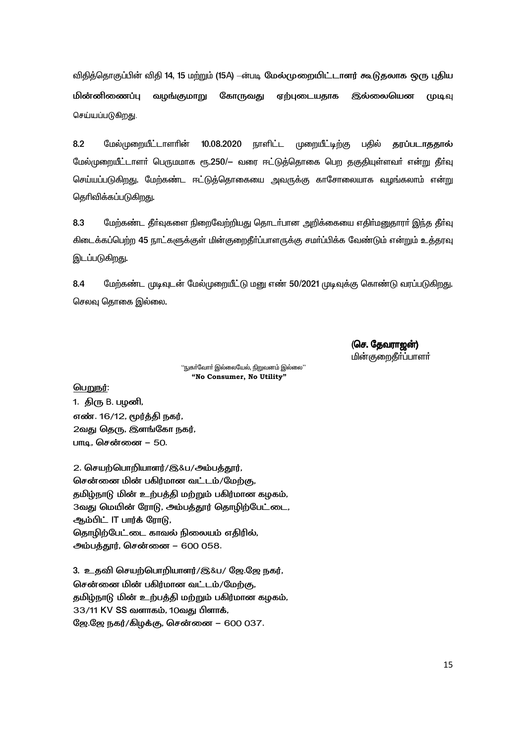விதித்தொகுப்பின் விதி 14, 15 மற்றும் (15A) —ன்படி மேல்முறையிட்டாளர் கூடுதலாக ஒரு புதிய மின்னிணைப்ப வழங்குமாறு கோருவது ஏற்புடையதாக இல்லையென முடவ செய்யப்படுகிறது.

 $8.2$ மேல்முறையீட்டாளரின் 10.08.2020 **நாளிட்**ட முறையீட்டிற்கு பதில் **காப்படாககால்** மேல்முறையீட்டாளர் பெருமமாக ரூ.250/– வரை ஈட்டுத்தொகை பெற தகுதியுள்ளவர் என்று தீர்வு செய்யப்படுகிறது. மேற்கண்ட ஈட்டுத்தொகையை அவருக்கு காசோலையாக வழங்கலாம் என்று தெரிவிக்கப்படுகிறது.

8.3 மேற்கண்ட தீர்வுகளை நிறைவேற்றியது தொடர்பான அறிக்கையை எதிர்மனுதாரர் இந்த தீர்வு கிடைக்கப்பெற்ற 45 நாட்களுக்குள் மின்குறைதீா்ப்பாளருக்கு சமா்ப்பிக்க வேண்டும் என்றும் உத்தரவு இடப்படுகிறது.

8.4 மேற்கண்ட முடிவுடன் மேல்முறையீட்டு மனு எண் 50/2021 முடிவுக்கு கொண்டு வரப்படுகிறது. செலவு தொகை இல்லை.

> (செ. தேவராஜன்) மின்குறைகீர்ப்பாளர்

''நுகா்வோா் இல்லையேல், நிறுவனம் இல்லை'' "No Consumer, No Utility"

பெறுநர்:

1. திரு B. பழனி, எண். 16/12, மூர்த்தி நகர், 2வது தெரு, இளங்கோ நகர், பாடி. சென்னை – 50.

2. செயற்பொறியாளர்/இ&ப/அம்பத்தூர், சென்னை மின் பகிர்மான வட்டம்/மேற்கு, தமிழ்நாடு மின் உற்பத்தி மற்றும் பகிர்மான கழகம், 3வது மெயின் ரோடு, அம்பத்தூர் தொழிற்பேட்டை, ஆம்பிட் IT பார்க் ரோடு, தொழிற்பேட்டை காவல் நிலையம் எதிரில், அம்பத்தூர், சென்னை – 600 058.

3. உதவி செயற்பொறியாளர்/இ&ப/ ஜே.ஜே நகர், சென்னை மின் பகிர்மான வட்டம்/மேற்கு, தமிழ்நாடு மின் உற்பத்தி மற்றும் பகிர்மான கழகம், 33/11 KV SS வளாகம், 10வது பிளாக், ஜே.ஜே நகர்/கிழக்கு, சென்னை – 600 037.